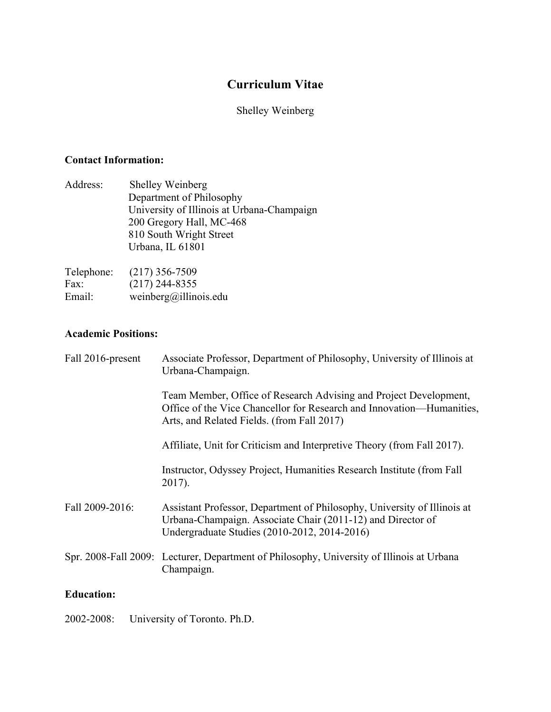# **Curriculum Vitae**

# Shelley Weinberg

# **Contact Information:**

| Address: | Shelley Weinberg                           |
|----------|--------------------------------------------|
|          | Department of Philosophy                   |
|          | University of Illinois at Urbana-Champaign |
|          | 200 Gregory Hall, MC-468                   |
|          | 810 South Wright Street                    |
|          | Urbana, IL 61801                           |
|          |                                            |

| Telephone: | $(217)$ 356-7509      |
|------------|-----------------------|
| Fax:       | $(217)$ 244-8355      |
| Email:     | weinberg@illinois.edu |

# **Academic Positions:**

| Fall 2016-present | Associate Professor, Department of Philosophy, University of Illinois at<br>Urbana-Champaign.                                                                                            |
|-------------------|------------------------------------------------------------------------------------------------------------------------------------------------------------------------------------------|
|                   | Team Member, Office of Research Advising and Project Development,<br>Office of the Vice Chancellor for Research and Innovation—Humanities,<br>Arts, and Related Fields. (from Fall 2017) |
|                   | Affiliate, Unit for Criticism and Interpretive Theory (from Fall 2017).                                                                                                                  |
|                   | Instructor, Odyssey Project, Humanities Research Institute (from Fall<br>2017).                                                                                                          |
| Fall 2009-2016:   | Assistant Professor, Department of Philosophy, University of Illinois at<br>Urbana-Champaign. Associate Chair (2011-12) and Director of<br>Undergraduate Studies (2010-2012, 2014-2016)  |
|                   | Spr. 2008-Fall 2009: Lecturer, Department of Philosophy, University of Illinois at Urbana<br>Champaign.                                                                                  |
| <b>Education:</b> |                                                                                                                                                                                          |

2002-2008: University of Toronto. Ph.D.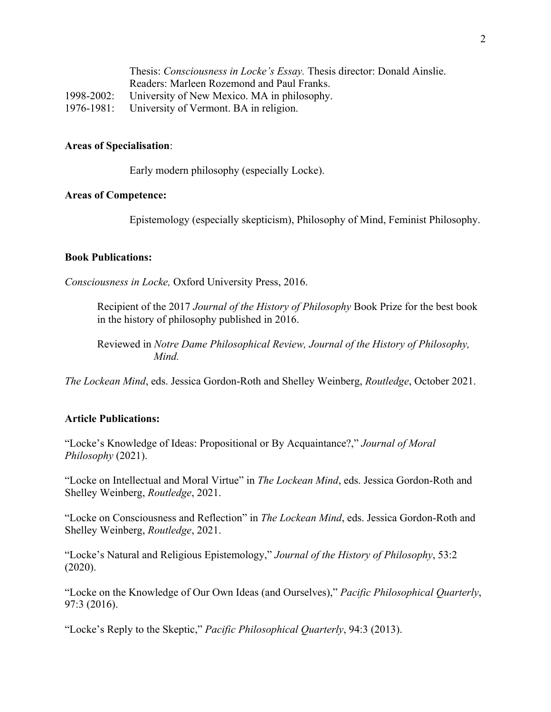| Thesis: Consciousness in Locke's Essay. Thesis director: Donald Ainslie. |
|--------------------------------------------------------------------------|
| Readers: Marleen Rozemond and Paul Franks.                               |
| 1998-2002: University of New Mexico. MA in philosophy.                   |
| 1976-1981: University of Vermont. BA in religion.                        |

#### **Areas of Specialisation**:

Early modern philosophy (especially Locke).

#### **Areas of Competence:**

Epistemology (especially skepticism), Philosophy of Mind, Feminist Philosophy.

#### **Book Publications:**

*Consciousness in Locke,* Oxford University Press, 2016.

Recipient of the 2017 *Journal of the History of Philosophy* Book Prize for the best book in the history of philosophy published in 2016.

Reviewed in *Notre Dame Philosophical Review, Journal of the History of Philosophy, Mind.*

*The Lockean Mind*, eds. Jessica Gordon-Roth and Shelley Weinberg, *Routledge*, October 2021.

#### **Article Publications:**

"Locke's Knowledge of Ideas: Propositional or By Acquaintance?," *Journal of Moral Philosophy* (2021).

"Locke on Intellectual and Moral Virtue" in *The Lockean Mind*, eds. Jessica Gordon-Roth and Shelley Weinberg, *Routledge*, 2021.

"Locke on Consciousness and Reflection" in *The Lockean Mind*, eds. Jessica Gordon-Roth and Shelley Weinberg, *Routledge*, 2021.

"Locke's Natural and Religious Epistemology," *Journal of the History of Philosophy*, 53:2 (2020).

"Locke on the Knowledge of Our Own Ideas (and Ourselves)," *Pacific Philosophical Quarterly*, 97:3 (2016).

"Locke's Reply to the Skeptic," *Pacific Philosophical Quarterly*, 94:3 (2013).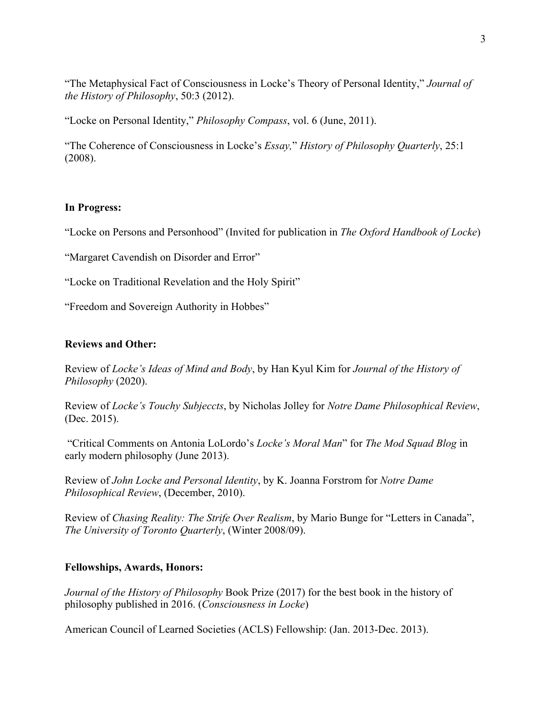"The Metaphysical Fact of Consciousness in Locke's Theory of Personal Identity," *Journal of the History of Philosophy*, 50:3 (2012).

"Locke on Personal Identity," *Philosophy Compass*, vol. 6 (June, 2011).

"The Coherence of Consciousness in Locke's *Essay,*" *History of Philosophy Quarterly*, 25:1 (2008).

### **In Progress:**

"Locke on Persons and Personhood" (Invited for publication in *The Oxford Handbook of Locke*)

"Margaret Cavendish on Disorder and Error"

"Locke on Traditional Revelation and the Holy Spirit"

"Freedom and Sovereign Authority in Hobbes"

#### **Reviews and Other:**

Review of *Locke's Ideas of Mind and Body*, by Han Kyul Kim for *Journal of the History of Philosophy* (2020).

Review of *Locke's Touchy Subjeccts*, by Nicholas Jolley for *Notre Dame Philosophical Review*, (Dec. 2015).

"Critical Comments on Antonia LoLordo's *Locke's Moral Man*" for *The Mod Squad Blog* in early modern philosophy (June 2013).

Review of *John Locke and Personal Identity*, by K. Joanna Forstrom for *Notre Dame Philosophical Review*, (December, 2010).

Review of *Chasing Reality: The Strife Over Realism*, by Mario Bunge for "Letters in Canada", *The University of Toronto Quarterly*, (Winter 2008/09).

#### **Fellowships, Awards, Honors:**

*Journal of the History of Philosophy* Book Prize (2017) for the best book in the history of philosophy published in 2016. (*Consciousness in Locke*)

American Council of Learned Societies (ACLS) Fellowship: (Jan. 2013-Dec. 2013).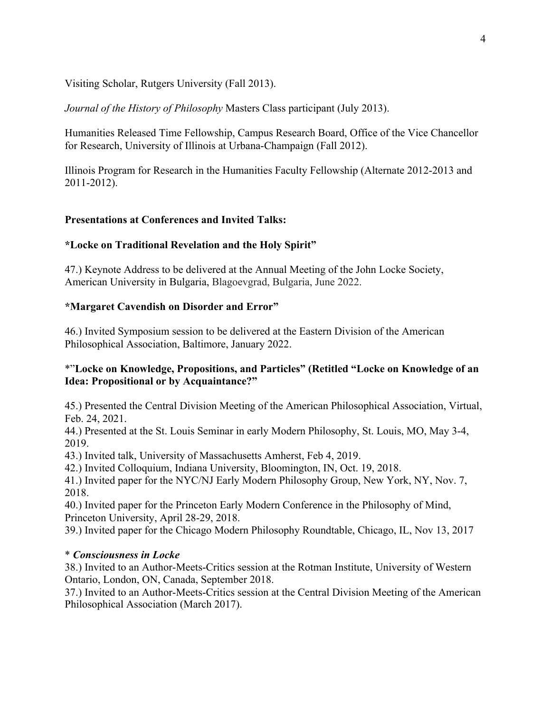Visiting Scholar, Rutgers University (Fall 2013).

*Journal of the History of Philosophy* Masters Class participant (July 2013).

Humanities Released Time Fellowship, Campus Research Board, Office of the Vice Chancellor for Research, University of Illinois at Urbana-Champaign (Fall 2012).

Illinois Program for Research in the Humanities Faculty Fellowship (Alternate 2012-2013 and 2011-2012).

### **Presentations at Conferences and Invited Talks:**

#### **\*Locke on Traditional Revelation and the Holy Spirit"**

47.) Keynote Address to be delivered at the Annual Meeting of the John Locke Society, American University in Bulgaria, Blagoevgrad, Bulgaria, June 2022.

#### **\*Margaret Cavendish on Disorder and Error"**

46.) Invited Symposium session to be delivered at the Eastern Division of the American Philosophical Association, Baltimore, January 2022.

#### \*"**Locke on Knowledge, Propositions, and Particles" (Retitled "Locke on Knowledge of an Idea: Propositional or by Acquaintance?"**

45.) Presented the Central Division Meeting of the American Philosophical Association, Virtual, Feb. 24, 2021.

44.) Presented at the St. Louis Seminar in early Modern Philosophy, St. Louis, MO, May 3-4, 2019.

43.) Invited talk, University of Massachusetts Amherst, Feb 4, 2019.

42.) Invited Colloquium, Indiana University, Bloomington, IN, Oct. 19, 2018.

41.) Invited paper for the NYC/NJ Early Modern Philosophy Group, New York, NY, Nov. 7, 2018.

40.) Invited paper for the Princeton Early Modern Conference in the Philosophy of Mind, Princeton University, April 28-29, 2018.

39.) Invited paper for the Chicago Modern Philosophy Roundtable, Chicago, IL, Nov 13, 2017

#### \* *Consciousness in Locke*

38.) Invited to an Author-Meets-Critics session at the Rotman Institute, University of Western Ontario, London, ON, Canada, September 2018.

37.) Invited to an Author-Meets-Critics session at the Central Division Meeting of the American Philosophical Association (March 2017).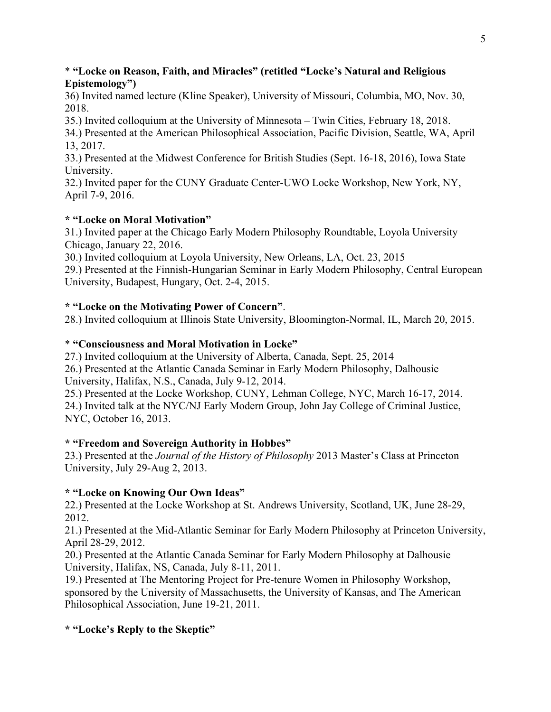#### \* **"Locke on Reason, Faith, and Miracles" (retitled "Locke's Natural and Religious Epistemology")**

36) Invited named lecture (Kline Speaker), University of Missouri, Columbia, MO, Nov. 30, 2018.

35.) Invited colloquium at the University of Minnesota – Twin Cities, February 18, 2018.

34.) Presented at the American Philosophical Association, Pacific Division, Seattle, WA, April 13, 2017.

33.) Presented at the Midwest Conference for British Studies (Sept. 16-18, 2016), Iowa State University.

32.) Invited paper for the CUNY Graduate Center-UWO Locke Workshop, New York, NY, April 7-9, 2016.

### **\* "Locke on Moral Motivation"**

31.) Invited paper at the Chicago Early Modern Philosophy Roundtable, Loyola University Chicago, January 22, 2016.

30.) Invited colloquium at Loyola University, New Orleans, LA, Oct. 23, 2015

29.) Presented at the Finnish-Hungarian Seminar in Early Modern Philosophy, Central European University, Budapest, Hungary, Oct. 2-4, 2015.

### **\* "Locke on the Motivating Power of Concern"**.

28.) Invited colloquium at Illinois State University, Bloomington-Normal, IL, March 20, 2015.

### \* **"Consciousness and Moral Motivation in Locke"**

27.) Invited colloquium at the University of Alberta, Canada, Sept. 25, 2014 26.) Presented at the Atlantic Canada Seminar in Early Modern Philosophy, Dalhousie University, Halifax, N.S., Canada, July 9-12, 2014.

25.) Presented at the Locke Workshop, CUNY, Lehman College, NYC, March 16-17, 2014. 24.) Invited talk at the NYC/NJ Early Modern Group, John Jay College of Criminal Justice, NYC, October 16, 2013.

# **\* "Freedom and Sovereign Authority in Hobbes"**

23.) Presented at the *Journal of the History of Philosophy* 2013 Master's Class at Princeton University, July 29-Aug 2, 2013.

### **\* "Locke on Knowing Our Own Ideas"**

22.) Presented at the Locke Workshop at St. Andrews University, Scotland, UK, June 28-29, 2012.

21.) Presented at the Mid-Atlantic Seminar for Early Modern Philosophy at Princeton University, April 28-29, 2012.

20.) Presented at the Atlantic Canada Seminar for Early Modern Philosophy at Dalhousie University, Halifax, NS, Canada, July 8-11, 2011.

19.) Presented at The Mentoring Project for Pre-tenure Women in Philosophy Workshop, sponsored by the University of Massachusetts, the University of Kansas, and The American Philosophical Association, June 19-21, 2011.

### **\* "Locke's Reply to the Skeptic"**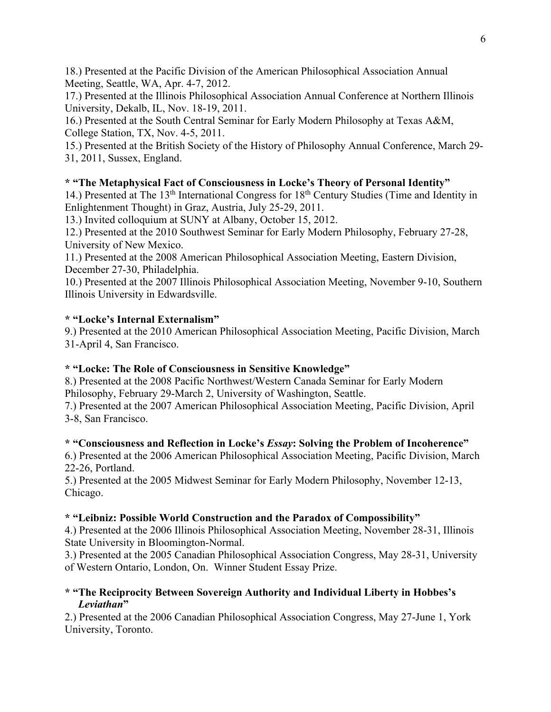18.) Presented at the Pacific Division of the American Philosophical Association Annual Meeting, Seattle, WA, Apr. 4-7, 2012.

17.) Presented at the Illinois Philosophical Association Annual Conference at Northern Illinois University, Dekalb, IL, Nov. 18-19, 2011.

16.) Presented at the South Central Seminar for Early Modern Philosophy at Texas A&M, College Station, TX, Nov. 4-5, 2011.

15.) Presented at the British Society of the History of Philosophy Annual Conference, March 29- 31, 2011, Sussex, England.

# **\* "The Metaphysical Fact of Consciousness in Locke's Theory of Personal Identity"**

14.) Presented at The 13th International Congress for 18th Century Studies (Time and Identity in Enlightenment Thought) in Graz, Austria, July 25-29, 2011.

13.) Invited colloquium at SUNY at Albany, October 15, 2012.

12.) Presented at the 2010 Southwest Seminar for Early Modern Philosophy, February 27-28, University of New Mexico.

11.) Presented at the 2008 American Philosophical Association Meeting, Eastern Division, December 27-30, Philadelphia.

10.) Presented at the 2007 Illinois Philosophical Association Meeting, November 9-10, Southern Illinois University in Edwardsville.

# **\* "Locke's Internal Externalism"**

9.) Presented at the 2010 American Philosophical Association Meeting, Pacific Division, March 31-April 4, San Francisco.

# **\* "Locke: The Role of Consciousness in Sensitive Knowledge"**

8.) Presented at the 2008 Pacific Northwest/Western Canada Seminar for Early Modern Philosophy, February 29-March 2, University of Washington, Seattle.

7.) Presented at the 2007 American Philosophical Association Meeting, Pacific Division, April 3-8, San Francisco.

# **\* "Consciousness and Reflection in Locke's** *Essay***: Solving the Problem of Incoherence"**

6.) Presented at the 2006 American Philosophical Association Meeting, Pacific Division, March 22-26, Portland.

5.) Presented at the 2005 Midwest Seminar for Early Modern Philosophy, November 12-13, Chicago.

# **\* "Leibniz: Possible World Construction and the Paradox of Compossibility"**

4.) Presented at the 2006 Illinois Philosophical Association Meeting, November 28-31, Illinois State University in Bloomington-Normal.

3.) Presented at the 2005 Canadian Philosophical Association Congress, May 28-31, University of Western Ontario, London, On. Winner Student Essay Prize.

### **\* "The Reciprocity Between Sovereign Authority and Individual Liberty in Hobbes's** *Leviathan***"**

2.) Presented at the 2006 Canadian Philosophical Association Congress, May 27-June 1, York University, Toronto.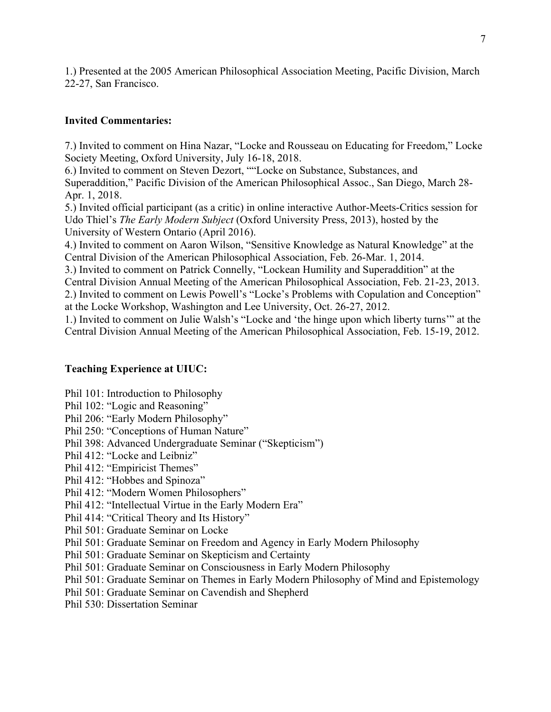1.) Presented at the 2005 American Philosophical Association Meeting, Pacific Division, March 22-27, San Francisco.

### **Invited Commentaries:**

7.) Invited to comment on Hina Nazar, "Locke and Rousseau on Educating for Freedom," Locke Society Meeting, Oxford University, July 16-18, 2018.

6.) Invited to comment on Steven Dezort, ""Locke on Substance, Substances, and Superaddition," Pacific Division of the American Philosophical Assoc., San Diego, March 28- Apr. 1, 2018.

5.) Invited official participant (as a critic) in online interactive Author-Meets-Critics session for Udo Thiel's *The Early Modern Subject* (Oxford University Press, 2013), hosted by the University of Western Ontario (April 2016).

4.) Invited to comment on Aaron Wilson, "Sensitive Knowledge as Natural Knowledge" at the Central Division of the American Philosophical Association, Feb. 26-Mar. 1, 2014.

3.) Invited to comment on Patrick Connelly, "Lockean Humility and Superaddition" at the Central Division Annual Meeting of the American Philosophical Association, Feb. 21-23, 2013.

2.) Invited to comment on Lewis Powell's "Locke's Problems with Copulation and Conception" at the Locke Workshop, Washington and Lee University, Oct. 26-27, 2012.

1.) Invited to comment on Julie Walsh's "Locke and 'the hinge upon which liberty turns'" at the Central Division Annual Meeting of the American Philosophical Association, Feb. 15-19, 2012.

# **Teaching Experience at UIUC:**

Phil 101: Introduction to Philosophy

- Phil 102: "Logic and Reasoning"
- Phil 206: "Early Modern Philosophy"
- Phil 250: "Conceptions of Human Nature"
- Phil 398: Advanced Undergraduate Seminar ("Skepticism")
- Phil 412: "Locke and Leibniz"
- Phil 412: "Empiricist Themes"
- Phil 412: "Hobbes and Spinoza"
- Phil 412: "Modern Women Philosophers"
- Phil 412: "Intellectual Virtue in the Early Modern Era"
- Phil 414: "Critical Theory and Its History"
- Phil 501: Graduate Seminar on Locke
- Phil 501: Graduate Seminar on Freedom and Agency in Early Modern Philosophy
- Phil 501: Graduate Seminar on Skepticism and Certainty
- Phil 501: Graduate Seminar on Consciousness in Early Modern Philosophy
- Phil 501: Graduate Seminar on Themes in Early Modern Philosophy of Mind and Epistemology
- Phil 501: Graduate Seminar on Cavendish and Shepherd
- Phil 530: Dissertation Seminar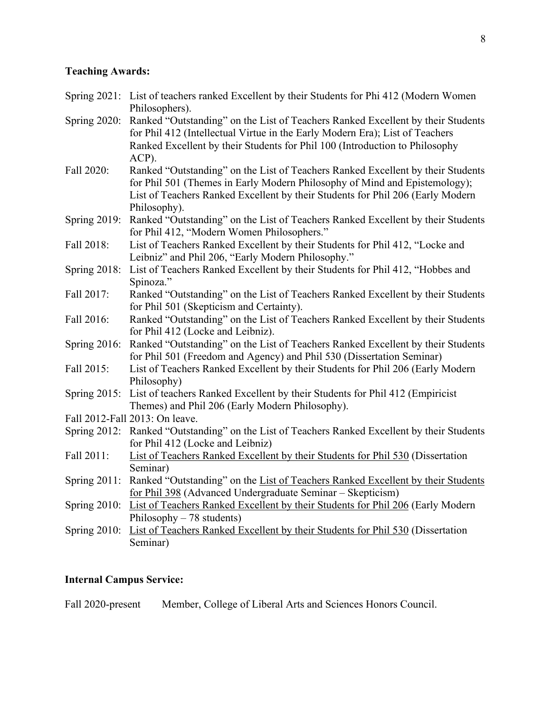#### **Teaching Awards:**

- Spring 2021: List of teachers ranked Excellent by their Students for Phi 412 (Modern Women Philosophers).
- Spring 2020: Ranked "Outstanding" on the List of Teachers Ranked Excellent by their Students for Phil 412 (Intellectual Virtue in the Early Modern Era); List of Teachers Ranked Excellent by their Students for Phil 100 (Introduction to Philosophy ACP).
- Fall 2020: Ranked "Outstanding" on the List of Teachers Ranked Excellent by their Students for Phil 501 (Themes in Early Modern Philosophy of Mind and Epistemology); List of Teachers Ranked Excellent by their Students for Phil 206 (Early Modern Philosophy).
- Spring 2019: Ranked "Outstanding" on the List of Teachers Ranked Excellent by their Students for Phil 412, "Modern Women Philosophers."
- Fall 2018: List of Teachers Ranked Excellent by their Students for Phil 412, "Locke and Leibniz" and Phil 206, "Early Modern Philosophy."
- Spring 2018: List of Teachers Ranked Excellent by their Students for Phil 412, "Hobbes and Spinoza."
- Fall 2017: Ranked "Outstanding" on the List of Teachers Ranked Excellent by their Students for Phil 501 (Skepticism and Certainty).
- Fall 2016: Ranked "Outstanding" on the List of Teachers Ranked Excellent by their Students for Phil 412 (Locke and Leibniz).
- Spring 2016: Ranked "Outstanding" on the List of Teachers Ranked Excellent by their Students for Phil 501 (Freedom and Agency) and Phil 530 (Dissertation Seminar)
- Fall 2015: List of Teachers Ranked Excellent by their Students for Phil 206 (Early Modern Philosophy)
- Spring 2015: List of teachers Ranked Excellent by their Students for Phil 412 (Empiricist Themes) and Phil 206 (Early Modern Philosophy).
- Fall 2012-Fall 2013: On leave.
- Spring 2012: Ranked "Outstanding" on the List of Teachers Ranked Excellent by their Students for Phil 412 (Locke and Leibniz)
- Fall 2011: List of Teachers Ranked Excellent by their Students for Phil 530 (Dissertation Seminar)
- Spring 2011: Ranked "Outstanding" on the List of Teachers Ranked Excellent by their Students for Phil 398 (Advanced Undergraduate Seminar – Skepticism)
- Spring 2010: List of Teachers Ranked Excellent by their Students for Phil 206 (Early Modern Philosophy – 78 students)
- Spring 2010: List of Teachers Ranked Excellent by their Students for Phil 530 (Dissertation Seminar)

# **Internal Campus Service:**

Fall 2020-present Member, College of Liberal Arts and Sciences Honors Council.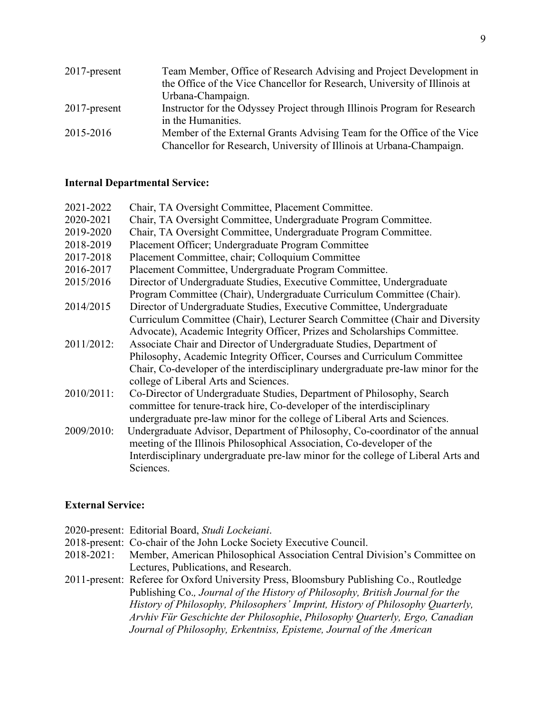| $2017$ -present | Team Member, Office of Research Advising and Project Development in       |
|-----------------|---------------------------------------------------------------------------|
|                 | the Office of the Vice Chancellor for Research, University of Illinois at |
|                 | Urbana-Champaign.                                                         |
| $2017$ -present | Instructor for the Odyssey Project through Illinois Program for Research  |
|                 | in the Humanities.                                                        |
| 2015-2016       | Member of the External Grants Advising Team for the Office of the Vice    |
|                 | Chancellor for Research, University of Illinois at Urbana-Champaign.      |

#### **Internal Departmental Service:**

| 2021-2022  | Chair, TA Oversight Committee, Placement Committee.                               |
|------------|-----------------------------------------------------------------------------------|
| 2020-2021  | Chair, TA Oversight Committee, Undergraduate Program Committee.                   |
| 2019-2020  | Chair, TA Oversight Committee, Undergraduate Program Committee.                   |
| 2018-2019  | Placement Officer; Undergraduate Program Committee                                |
| 2017-2018  | Placement Committee, chair; Colloquium Committee                                  |
| 2016-2017  | Placement Committee, Undergraduate Program Committee.                             |
| 2015/2016  | Director of Undergraduate Studies, Executive Committee, Undergraduate             |
|            | Program Committee (Chair), Undergraduate Curriculum Committee (Chair).            |
| 2014/2015  | Director of Undergraduate Studies, Executive Committee, Undergraduate             |
|            | Curriculum Committee (Chair), Lecturer Search Committee (Chair and Diversity      |
|            | Advocate), Academic Integrity Officer, Prizes and Scholarships Committee.         |
| 2011/2012: | Associate Chair and Director of Undergraduate Studies, Department of              |
|            | Philosophy, Academic Integrity Officer, Courses and Curriculum Committee          |
|            | Chair, Co-developer of the interdisciplinary undergraduate pre-law minor for the  |
|            | college of Liberal Arts and Sciences.                                             |
| 2010/2011: | Co-Director of Undergraduate Studies, Department of Philosophy, Search            |
|            | committee for tenure-track hire, Co-developer of the interdisciplinary            |
|            | undergraduate pre-law minor for the college of Liberal Arts and Sciences.         |
| 2009/2010: | Undergraduate Advisor, Department of Philosophy, Co-coordinator of the annual     |
|            | meeting of the Illinois Philosophical Association, Co-developer of the            |
|            | Interdisciplinary undergraduate pre-law minor for the college of Liberal Arts and |
|            | Sciences.                                                                         |

#### **External Service:**

2020-present: Editorial Board, *Studi Lockeiani*. 2018-present: Co-chair of the John Locke Society Executive Council.<br>2018-2021: Member, American Philosophical Association Central I Member, American Philosophical Association Central Division's Committee on Lectures, Publications, and Research. 2011-present: Referee for Oxford University Press, Bloomsbury Publishing Co., Routledge Publishing Co.*, Journal of the History of Philosophy, British Journal for the History of Philosophy, Philosophers' Imprint, History of Philosophy Quarterly, Arvhiv Für Geschichte der Philosophie*, *Philosophy Quarterly, Ergo, Canadian Journal of Philosophy, Erkentniss, Episteme, Journal of the American*